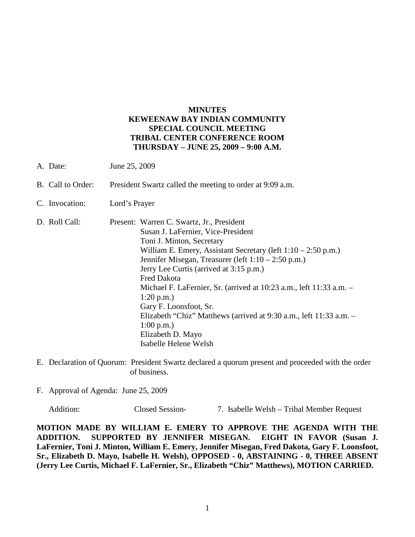## **MINUTES KEWEENAW BAY INDIAN COMMUNITY SPECIAL COUNCIL MEETING TRIBAL CENTER CONFERENCE ROOM THURSDAY – JUNE 25, 2009 – 9:00 A.M.**

- A. Date: June 25, 2009
- B. Call to Order: President Swartz called the meeting to order at 9:09 a.m.
- C. Invocation: Lord's Prayer
- D. Roll Call: Present: Warren C. Swartz, Jr., President Susan J. LaFernier, Vice-President Toni J. Minton, Secretary William E. Emery, Assistant Secretary (left  $1:10 - 2:50$  p.m.) Jennifer Misegan, Treasurer (left 1:10 – 2:50 p.m.) Jerry Lee Curtis (arrived at 3:15 p.m.) Fred Dakota Michael F. LaFernier, Sr. (arrived at 10:23 a.m., left 11:33 a.m. – 1:20 p.m.) Gary F. Loonsfoot, Sr. Elizabeth "Chiz" Matthews (arrived at 9:30 a.m., left 11:33 a.m. – 1:00 p.m.) Elizabeth D. Mayo Isabelle Helene Welsh
- E. Declaration of Quorum: President Swartz declared a quorum present and proceeded with the order of business.
- F. Approval of Agenda: June 25, 2009

Addition: Closed Session- 7. Isabelle Welsh – Tribal Member Request

**MOTION MADE BY WILLIAM E. EMERY TO APPROVE THE AGENDA WITH THE ADDITION. SUPPORTED BY JENNIFER MISEGAN. EIGHT IN FAVOR (Susan J. LaFernier, Toni J. Minton, William E. Emery, Jennifer Misegan, Fred Dakota, Gary F. Loonsfoot, Sr., Elizabeth D. Mayo, Isabelle H. Welsh), OPPOSED - 0, ABSTAINING - 0, THREE ABSENT (Jerry Lee Curtis, Michael F. LaFernier, Sr., Elizabeth "Chiz" Matthews), MOTION CARRIED.**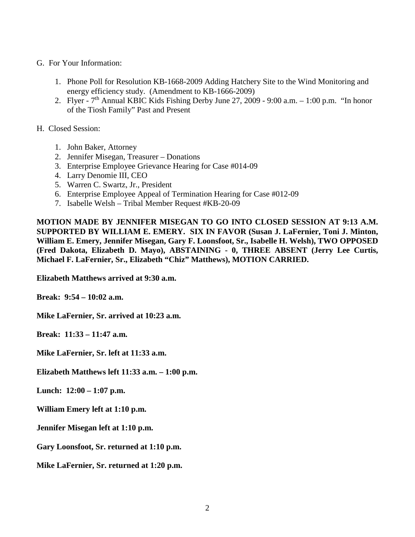- G. For Your Information:
	- 1. Phone Poll for Resolution KB-1668-2009 Adding Hatchery Site to the Wind Monitoring and energy efficiency study. (Amendment to KB-1666-2009)
	- 2. Flyer  $7<sup>th</sup>$  Annual KBIC Kids Fishing Derby June 27, 2009 9:00 a.m.  $-1:00$  p.m. "In honor of the Tiosh Family" Past and Present
- H. Closed Session:
	- 1. John Baker, Attorney
	- 2. Jennifer Misegan, Treasurer Donations
	- 3. Enterprise Employee Grievance Hearing for Case #014-09
	- 4. Larry Denomie III, CEO
	- 5. Warren C. Swartz, Jr., President
	- 6. Enterprise Employee Appeal of Termination Hearing for Case #012-09
	- 7. Isabelle Welsh Tribal Member Request #KB-20-09

**MOTION MADE BY JENNIFER MISEGAN TO GO INTO CLOSED SESSION AT 9:13 A.M. SUPPORTED BY WILLIAM E. EMERY. SIX IN FAVOR (Susan J. LaFernier, Toni J. Minton, William E. Emery, Jennifer Misegan, Gary F. Loonsfoot, Sr., Isabelle H. Welsh), TWO OPPOSED (Fred Dakota, Elizabeth D. Mayo), ABSTAINING - 0, THREE ABSENT (Jerry Lee Curtis, Michael F. LaFernier, Sr., Elizabeth "Chiz" Matthews), MOTION CARRIED.**

**Elizabeth Matthews arrived at 9:30 a.m.**

**Break: 9:54 – 10:02 a.m.**

**Mike LaFernier, Sr. arrived at 10:23 a.m.**

**Break: 11:33 – 11:47 a.m.**

**Mike LaFernier, Sr. left at 11:33 a.m.**

**Elizabeth Matthews left 11:33 a.m. – 1:00 p.m.**

**Lunch: 12:00 – 1:07 p.m.**

**William Emery left at 1:10 p.m.**

**Jennifer Misegan left at 1:10 p.m.**

**Gary Loonsfoot, Sr. returned at 1:10 p.m.**

**Mike LaFernier, Sr. returned at 1:20 p.m.**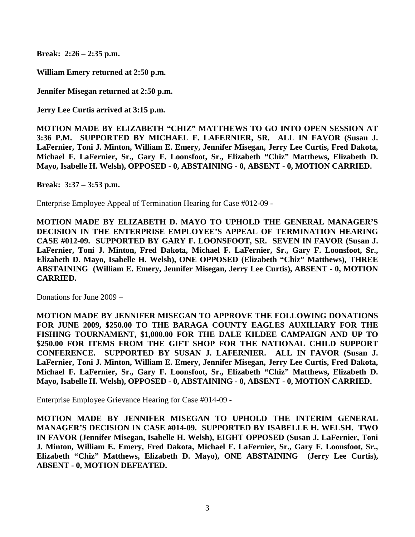**Break: 2:26 – 2:35 p.m.**

**William Emery returned at 2:50 p.m.**

**Jennifer Misegan returned at 2:50 p.m.**

**Jerry Lee Curtis arrived at 3:15 p.m.**

**MOTION MADE BY ELIZABETH "CHIZ" MATTHEWS TO GO INTO OPEN SESSION AT 3:36 P.M. SUPPORTED BY MICHAEL F. LAFERNIER, SR. ALL IN FAVOR (Susan J. LaFernier, Toni J. Minton, William E. Emery, Jennifer Misegan, Jerry Lee Curtis, Fred Dakota, Michael F. LaFernier, Sr., Gary F. Loonsfoot, Sr., Elizabeth "Chiz" Matthews, Elizabeth D. Mayo, Isabelle H. Welsh), OPPOSED - 0, ABSTAINING - 0, ABSENT - 0, MOTION CARRIED.**

**Break: 3:37 – 3:53 p.m.**

Enterprise Employee Appeal of Termination Hearing for Case #012-09 -

**MOTION MADE BY ELIZABETH D. MAYO TO UPHOLD THE GENERAL MANAGER'S DECISION IN THE ENTERPRISE EMPLOYEE'S APPEAL OF TERMINATION HEARING CASE #012-09. SUPPORTED BY GARY F. LOONSFOOT, SR. SEVEN IN FAVOR (Susan J. LaFernier, Toni J. Minton, Fred Dakota, Michael F. LaFernier, Sr., Gary F. Loonsfoot, Sr., Elizabeth D. Mayo, Isabelle H. Welsh), ONE OPPOSED (Elizabeth "Chiz" Matthews), THREE ABSTAINING (William E. Emery, Jennifer Misegan, Jerry Lee Curtis), ABSENT - 0, MOTION CARRIED.**

Donations for June 2009 –

**MOTION MADE BY JENNIFER MISEGAN TO APPROVE THE FOLLOWING DONATIONS FOR JUNE 2009, \$250.00 TO THE BARAGA COUNTY EAGLES AUXILIARY FOR THE FISHING TOURNAMENT, \$1,000.00 FOR THE DALE KILDEE CAMPAIGN AND UP TO \$250.00 FOR ITEMS FROM THE GIFT SHOP FOR THE NATIONAL CHILD SUPPORT CONFERENCE. SUPPORTED BY SUSAN J. LAFERNIER. ALL IN FAVOR (Susan J. LaFernier, Toni J. Minton, William E. Emery, Jennifer Misegan, Jerry Lee Curtis, Fred Dakota, Michael F. LaFernier, Sr., Gary F. Loonsfoot, Sr., Elizabeth "Chiz" Matthews, Elizabeth D. Mayo, Isabelle H. Welsh), OPPOSED - 0, ABSTAINING - 0, ABSENT - 0, MOTION CARRIED.**

Enterprise Employee Grievance Hearing for Case #014-09 -

**MOTION MADE BY JENNIFER MISEGAN TO UPHOLD THE INTERIM GENERAL MANAGER'S DECISION IN CASE #014-09. SUPPORTED BY ISABELLE H. WELSH. TWO IN FAVOR (Jennifer Misegan, Isabelle H. Welsh), EIGHT OPPOSED (Susan J. LaFernier, Toni J. Minton, William E. Emery, Fred Dakota, Michael F. LaFernier, Sr., Gary F. Loonsfoot, Sr., Elizabeth "Chiz" Matthews, Elizabeth D. Mayo), ONE ABSTAINING (Jerry Lee Curtis), ABSENT - 0, MOTION DEFEATED.**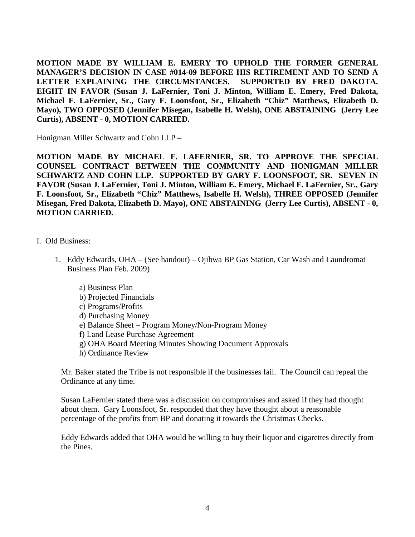**MOTION MADE BY WILLIAM E. EMERY TO UPHOLD THE FORMER GENERAL MANAGER'S DECISION IN CASE #014-09 BEFORE HIS RETIREMENT AND TO SEND A LETTER EXPLAINING THE CIRCUMSTANCES. SUPPORTED BY FRED DAKOTA. EIGHT IN FAVOR (Susan J. LaFernier, Toni J. Minton, William E. Emery, Fred Dakota, Michael F. LaFernier, Sr., Gary F. Loonsfoot, Sr., Elizabeth "Chiz" Matthews, Elizabeth D. Mayo), TWO OPPOSED (Jennifer Misegan, Isabelle H. Welsh), ONE ABSTAINING (Jerry Lee Curtis), ABSENT - 0, MOTION CARRIED.**

Honigman Miller Schwartz and Cohn LLP –

**MOTION MADE BY MICHAEL F. LAFERNIER, SR. TO APPROVE THE SPECIAL COUNSEL CONTRACT BETWEEN THE COMMUNITY AND HONIGMAN MILLER SCHWARTZ AND COHN LLP. SUPPORTED BY GARY F. LOONSFOOT, SR. SEVEN IN FAVOR (Susan J. LaFernier, Toni J. Minton, William E. Emery, Michael F. LaFernier, Sr., Gary F. Loonsfoot, Sr., Elizabeth "Chiz" Matthews, Isabelle H. Welsh), THREE OPPOSED (Jennifer Misegan, Fred Dakota, Elizabeth D. Mayo), ONE ABSTAINING (Jerry Lee Curtis), ABSENT - 0, MOTION CARRIED.**

## I. Old Business:

- 1. Eddy Edwards, OHA (See handout) Ojibwa BP Gas Station, Car Wash and Laundromat Business Plan Feb. 2009)
	- a) Business Plan
	- b) Projected Financials
	- c) Programs/Profits
	- d) Purchasing Money
	- e) Balance Sheet Program Money/Non-Program Money
	- f) Land Lease Purchase Agreement
	- g) OHA Board Meeting Minutes Showing Document Approvals
	- h) Ordinance Review

Mr. Baker stated the Tribe is not responsible if the businesses fail. The Council can repeal the Ordinance at any time.

Susan LaFernier stated there was a discussion on compromises and asked if they had thought about them. Gary Loonsfoot, Sr. responded that they have thought about a reasonable percentage of the profits from BP and donating it towards the Christmas Checks.

Eddy Edwards added that OHA would be willing to buy their liquor and cigarettes directly from the Pines.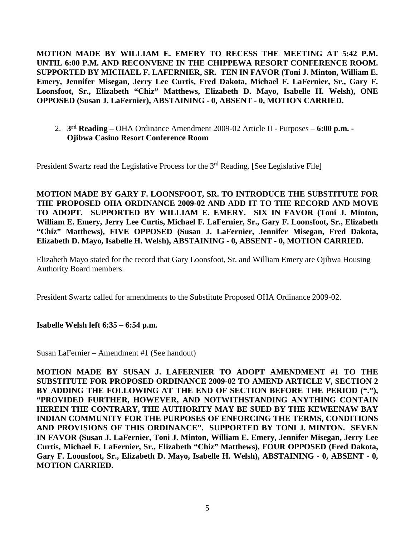**MOTION MADE BY WILLIAM E. EMERY TO RECESS THE MEETING AT 5:42 P.M. UNTIL 6:00 P.M. AND RECONVENE IN THE CHIPPEWA RESORT CONFERENCE ROOM. SUPPORTED BY MICHAEL F. LAFERNIER, SR. TEN IN FAVOR (Toni J. Minton, William E. Emery, Jennifer Misegan, Jerry Lee Curtis, Fred Dakota, Michael F. LaFernier, Sr., Gary F. Loonsfoot, Sr., Elizabeth "Chiz" Matthews, Elizabeth D. Mayo, Isabelle H. Welsh), ONE OPPOSED (Susan J. LaFernier), ABSTAINING - 0, ABSENT - 0, MOTION CARRIED.**

2. **3rd Reading –** OHA Ordinance Amendment 2009-02 Article II - Purposes – **6:00 p.m. - Ojibwa Casino Resort Conference Room**

President Swartz read the Legislative Process for the  $3<sup>rd</sup>$  Reading. [See Legislative File]

**MOTION MADE BY GARY F. LOONSFOOT, SR. TO INTRODUCE THE SUBSTITUTE FOR THE PROPOSED OHA ORDINANCE 2009-02 AND ADD IT TO THE RECORD AND MOVE TO ADOPT. SUPPORTED BY WILLIAM E. EMERY. SIX IN FAVOR (Toni J. Minton, William E. Emery, Jerry Lee Curtis, Michael F. LaFernier, Sr., Gary F. Loonsfoot, Sr., Elizabeth "Chiz" Matthews), FIVE OPPOSED (Susan J. LaFernier, Jennifer Misegan, Fred Dakota, Elizabeth D. Mayo, Isabelle H. Welsh), ABSTAINING - 0, ABSENT - 0, MOTION CARRIED.**

Elizabeth Mayo stated for the record that Gary Loonsfoot, Sr. and William Emery are Ojibwa Housing Authority Board members.

President Swartz called for amendments to the Substitute Proposed OHA Ordinance 2009-02.

## **Isabelle Welsh left 6:35 – 6:54 p.m.**

Susan LaFernier – Amendment #1 (See handout)

**MOTION MADE BY SUSAN J. LAFERNIER TO ADOPT AMENDMENT #1 TO THE SUBSTITUTE FOR PROPOSED ORDINANCE 2009-02 TO AMEND ARTICLE V, SECTION 2 BY ADDING THE FOLLOWING AT THE END OF SECTION BEFORE THE PERIOD ("."), "PROVIDED FURTHER, HOWEVER, AND NOTWITHSTANDING ANYTHING CONTAIN HEREIN THE CONTRARY, THE AUTHORITY MAY BE SUED BY THE KEWEENAW BAY INDIAN COMMUNITY FOR THE PURPOSES OF ENFORCING THE TERMS, CONDITIONS AND PROVISIONS OF THIS ORDINANCE". SUPPORTED BY TONI J. MINTON. SEVEN IN FAVOR (Susan J. LaFernier, Toni J. Minton, William E. Emery, Jennifer Misegan, Jerry Lee Curtis, Michael F. LaFernier, Sr., Elizabeth "Chiz" Matthews), FOUR OPPOSED (Fred Dakota, Gary F. Loonsfoot, Sr., Elizabeth D. Mayo, Isabelle H. Welsh), ABSTAINING - 0, ABSENT - 0, MOTION CARRIED.**